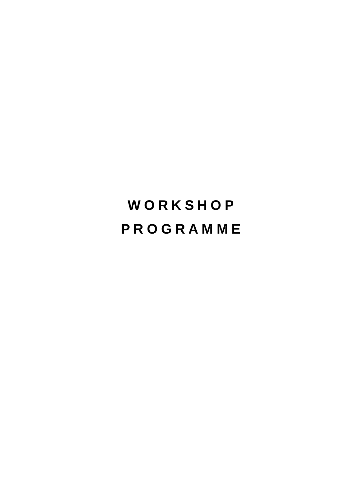# **W O R K S H O P P R O G R A M M E**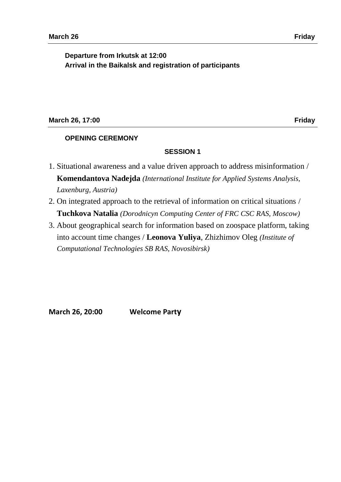**Departure from Irkutsk at 12:00 Arrival in the Baikalsk and registration of participants**

# **March 26, 17:00 Friday**

# **OPENING CEREMONY**

## **SESSION 1**

- 1. Situational awareness and a value driven approach to address misinformation / **Komendantova Nadejda** *(International Institute for Applied Systems Analysis, Laxenburg, Austria)*
- 2. On integrated approach to the retrieval of information on critical situations / **Tuchkova Natalia** *(Dorodnicyn Computing Center of FRC CSC RAS, Moscow)*
- 3. About geographical search for information based on zoospace platform, taking into account time changes / **Leonova Yuliya**, Zhizhimov Oleg *(Institute of Computational Technologies SB RAS, Novosibirsk)*

**March 26, 20:00 Welcome Party**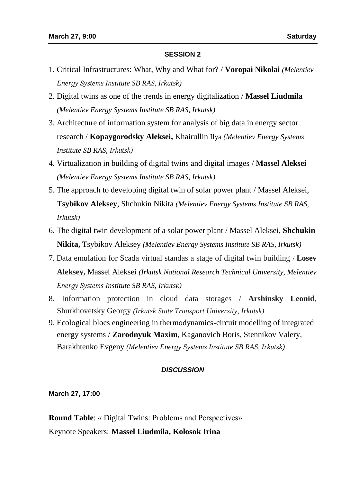- 1. Critical Infrastructures: What, Why and What for? / **Voropai Nikolai** *(Melentiev Energy Systems Institute SB RAS, Irkutsk)*
- 2. Digital twins as one of the trends in energy digitalization / **Massel Liudmila** *(Melentiev Energy Systems Institute SB RAS, Irkutsk)*
- 3. Architecture of information system for analysis of big data in energy sector research / **Kopaygorodsky Aleksei,** Khairullin Ilya *(Melentiev Energy Systems Institute SB RAS, Irkutsk)*
- 4. Virtualization in building of digital twins and digital images / **Massel Aleksei** *(Melentiev Energy Systems Institute SB RAS, Irkutsk)*
- 5. The approach to developing digital twin of solar power plant / Massel Aleksei, **Tsybikov Aleksey**, Shchukin Nikita *(Melentiev Energy Systems Institute SB RAS, Irkutsk)*
- 6. The digital twin development of a solar power plant / Massel Aleksei, **Shchukin Nikita,** Tsybikov Aleksey *(Melentiev Energy Systems Institute SB RAS, Irkutsk)*
- 7. Data emulation for Scada virtual standas a stage of digital twin building / **Losev Aleksey,** Massel Aleksei *(Irkutsk National Research Technical University, Melentiev Energy Systems Institute SB RAS, Irkutsk)*
- 8. Information protection in cloud data storages / **Arshinsky Leonid**, Shurkhovetsky Georgy *(Irkutsk State Transport University, Irkutsk)*
- 9. Ecological blocs engineering in thermodynamics-circuit modelling of integrated energy systems / **Zarodnyuk Maxim**, Kaganovich Boris, Stennikov Valery, Barakhtenko Evgeny *(Melentiev Energy Systems Institute SB RAS, Irkutsk)*

# *DISCUSSION*

**March 27, 17:00** 

**Round Table**: « Digital Twins: Problems and Perspectives» Keynote Speakers: **Massel Liudmila, Kolosok Irina**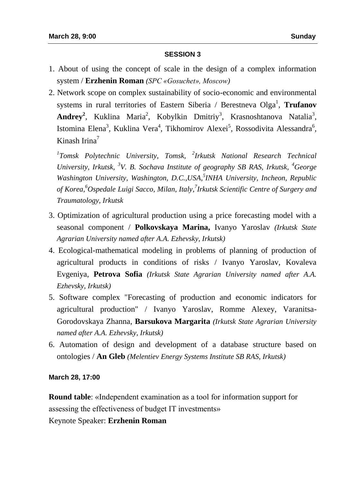- 1. About of using the concept of scale in the design of a complex information system / **Erzhenin Roman** *(SPC «Gosuchet», Moscow)*
- 2. Network scope on complex sustainability of socio-economic and environmental systems in rural territories of Eastern Siberia / Berestneva Olga<sup>1</sup>, **Trufanov** Andrey<sup>2</sup>, Kuklina Maria<sup>2</sup>, Kobylkin Dmitriy<sup>3</sup>, Krasnoshtanova Natalia<sup>3</sup>, Istomina Elena<sup>3</sup>, Kuklina Vera<sup>4</sup>, Tikhomirov Alexei<sup>5</sup>, Rossodivita Alessandra<sup>6</sup>, Kinash Irina $<sup>7</sup>$ </sup>

*1 Tomsk Polytechnic University, Tomsk, <sup>2</sup> Irkutsk National Research Technical University, Irkutsk,* <sup>3</sup>V. B. Sochava Institute of geography SB RAS, Irkutsk, <sup>4</sup>George *Washington University, Washington, D.C.,USA, 5 INHA University, Incheon, Republic of Korea, <sup>6</sup>Ospedale Luigi Sacco, Milan, Italy, 7 Irkutsk Scientific Centre of Surgery and Traumatology, Irkutsk*

- 3. Optimization of agricultural production using a price forecasting model with a seasonal component / **Polkovskaya Marina,** Ivanyo Yaroslav *(Irkutsk State Agrarian University named after A.A. Ezhevsky, Irkutsk)*
- 4. Ecological-mathematical modeling in problems of planning of production of agricultural products in conditions of risks / Ivanyo Yaroslav, Kovaleva Evgeniya, **Petrova Sofia** *(Irkutsk State Agrarian University named after A.A. Ezhevsky, Irkutsk)*
- 5. Software complex "Forecasting of production and economic indicators for agricultural production" / Ivanyo Yaroslav, Romme Alexey, Varanitsa-Gorodovskaya Zhanna, **Barsukova Margarita** *(Irkutsk State Agrarian University named after A.A. Ezhevsky, Irkutsk)*
- 6. Automation of design and development of a database structure based on ontologies / **An Gleb** *(Melentiev Energy Systems Institute SB RAS, Irkutsk)*

# **March 28, 17:00**

**Round table**: «Independent examination as a tool for information support for assessing the effectiveness of budget IT investments»

Keynote Speaker: **Erzhenin Roman**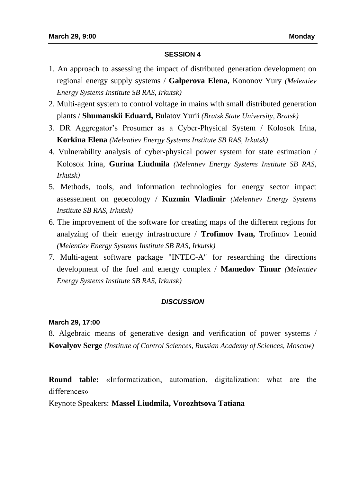- 1. An approach to assessing the impact of distributed generation development on regional energy supply systems / **Galperova Elena,** Kononov Yury *(Melentiev Energy Systems Institute SB RAS, Irkutsk)*
- 2. Multi-agent system to control voltage in mains with small distributed generation plants / **Shumanskii Eduard,** Bulatov Yurii *(Bratsk State University, Bratsk)*
- 3. DR Aggregator's Prosumer as a Cyber-Physical System / Kolosok Irina, **Korkina Elena** *(Melentiev Energy Systems Institute SB RAS, Irkutsk)*
- 4. Vulnerability analysis of cyber-physical power system for state estimation / Kolosok Irina, **Gurina Liudmila** *(Melentiev Energy Systems Institute SB RAS, Irkutsk)*
- 5. Methods, tools, and information technologies for energy sector impact assessement on geoecology / **Kuzmin Vladimir** *(Melentiev Energy Systems Institute SB RAS, Irkutsk)*
- 6. The improvement of the software for creating maps of the different regions for analyzing of their energy infrastructure / **Trofimov Ivan,** Trofimov Leonid *(Melentiev Energy Systems Institute SB RAS, Irkutsk)*
- 7. Multi-agent software package "INTEC-A" for researching the directions development of the fuel and energy complex / **Mamedov Timur** *(Melentiev Energy Systems Institute SB RAS, Irkutsk)*

## *DISCUSSION*

#### **March 29, 17:00**

8. Algebraic means of generative design and verification of power systems / **Kovalyov Serge** *(Institute of Control Sciences, Russian Academy of Sciences, Moscow)* 

**Round table:** «Informatization, automation, digitalization: what are the differences»

Keynote Speakers: **Massel Liudmila, Vorozhtsova Tatiana**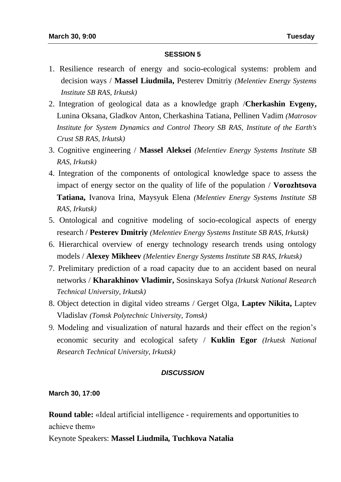- 1. Resilience research of energy and socio-ecological systems: problem and decision ways / **Massel Liudmila,** Pesterev Dmitriy *(Melentiev Energy Systems Institute SB RAS, Irkutsk)*
- 2. Integration of geological data as a knowledge graph /**Cherkashin Evgeny,** Lunina Oksana, Gladkov Anton, Cherkashina Tatiana, Pellinen Vadim *(Matrosov Institute for System Dynamics and Control Theory SB RAS, Institute of the Earth's Crust SB RAS, Irkutsk)*
- 3. Cognitive engineering / **Massel Aleksei** *(Melentiev Energy Systems Institute SB RAS, Irkutsk)*
- 4. Integration of the components of ontological knowledge space to assess the impact of energy sector on the quality of life of the population / **Vorozhtsova Tatiana,** Ivanova Irina, Maysyuk Elena *(Melentiev Energy Systems Institute SB RAS, Irkutsk)*
- 5. Ontological and cognitive modeling of socio-ecological aspects of energy research / **Pesterev Dmitriy** *(Melentiev Energy Systems Institute SB RAS, Irkutsk)*
- 6. Hierarchical overview of energy technology research trends using ontology models / **Alexey Mikheev** *(Melentiev Energy Systems Institute SB RAS, Irkutsk)*
- 7. Prelimitary prediction of a road capacity due to an accident based on neural networks / **Kharakhinov Vladimir,** Sosinskaya Sofya *(Irkutsk National Research Technical University, Irkutsk)*
- 8. Object detection in digital video streams / Gerget Olga, **Laptev Nikita,** Laptev Vladislav *(Tomsk Polytechnic University, Tomsk)*
- 9*.* Modeling and visualization of natural hazards and their effect on the region's economic security and ecological safety / **Kuklin Egor** *(Irkutsk National Research Technical University, Irkutsk)*

# *DISCUSSION*

## **March 30, 17:00**

**Round table:** «Ideal artificial intelligence - requirements and opportunities to achieve them»

Keynote Speakers: **Massel Liudmila***,* **Tuchkova Natalia**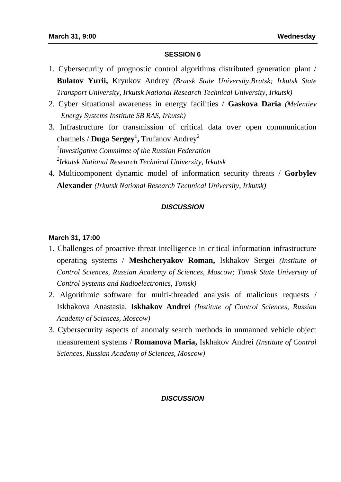- 1. Cybersecurity of prognostic control algorithms distributed generation plant / **Bulatov Yurii,** Kryukov Andrey *(Bratsk State University,Bratsk; Irkutsk State Transport University, Irkutsk National Research Technical University, Irkutsk)*
- 2. Cyber situational awareness in energy facilities / **Gaskova Daria** *(Melentiev Energy Systems Institute SB RAS, Irkutsk)*
- 3. Infrastructure for transmission of critical data over open communication channels / **Duga Sergey 1 ,** Trufanov Andrey<sup>2</sup>

*1 Investigative Committee of the Russian Federation 2 Irkutsk National Research Technical University, Irkutsk*

4. Multicomponent dynamic model of information security threats / **Gorbylev Alexander** *(Irkutsk National Research Technical University, Irkutsk)*

## *DISCUSSION*

## **March 31, 17:00**

- 1. Challenges of proactive threat intelligence in critical information infrastructure operating systems / **Meshcheryakov Roman,** Iskhakov Sergei *(Institute of Control Sciences, Russian Academy of Sciences, Moscow; Tomsk State University of Control Systems and Radioelectronics, Tomsk)*
- 2. Algorithmic software for multi-threaded analysis of malicious requests / Iskhakova Anastasia, **Iskhakov Andrei** *(Institute of Control Sciences, Russian Academy of Sciences, Moscow)*
- 3. Cybersecurity aspects of anomaly search methods in unmanned vehicle object measurement systems / **Romanova Maria,** Iskhakov Andrei *(Institute of Control Sciences, Russian Academy of Sciences, Moscow)*

# *DISCUSSION*